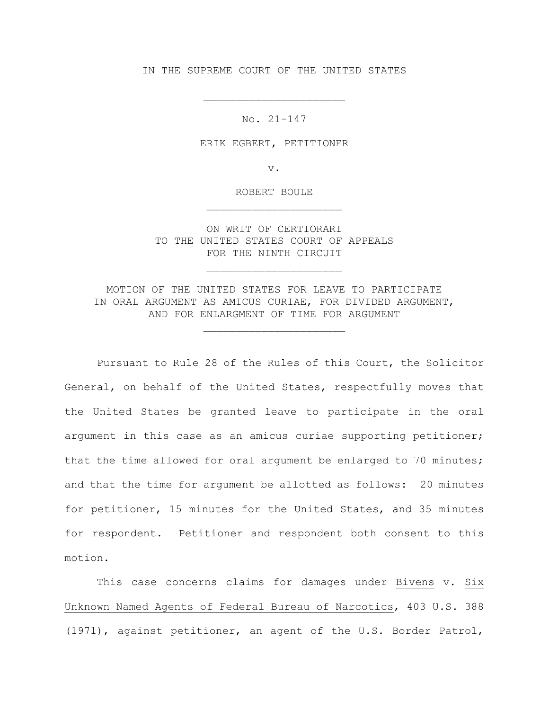IN THE SUPREME COURT OF THE UNITED STATES

No. 21-147

\_\_\_\_\_\_\_\_\_\_\_\_\_\_\_\_\_\_\_\_\_\_

ERIK EGBERT, PETITIONER

v.

ROBERT BOULE \_\_\_\_\_\_\_\_\_\_\_\_\_\_\_\_\_\_\_\_\_

ON WRIT OF CERTIORARI TO THE UNITED STATES COURT OF APPEALS FOR THE NINTH CIRCUIT

\_\_\_\_\_\_\_\_\_\_\_\_\_\_\_\_\_\_\_\_\_

MOTION OF THE UNITED STATES FOR LEAVE TO PARTICIPATE IN ORAL ARGUMENT AS AMICUS CURIAE, FOR DIVIDED ARGUMENT, AND FOR ENLARGMENT OF TIME FOR ARGUMENT

\_\_\_\_\_\_\_\_\_\_\_\_\_\_\_\_\_\_\_\_\_\_

Pursuant to Rule 28 of the Rules of this Court, the Solicitor General, on behalf of the United States, respectfully moves that the United States be granted leave to participate in the oral argument in this case as an amicus curiae supporting petitioner; that the time allowed for oral argument be enlarged to 70 minutes; and that the time for argument be allotted as follows: 20 minutes for petitioner, 15 minutes for the United States, and 35 minutes for respondent. Petitioner and respondent both consent to this motion.

This case concerns claims for damages under Bivens v. Six Unknown Named Agents of Federal Bureau of Narcotics, 403 U.S. 388 (1971), against petitioner, an agent of the U.S. Border Patrol,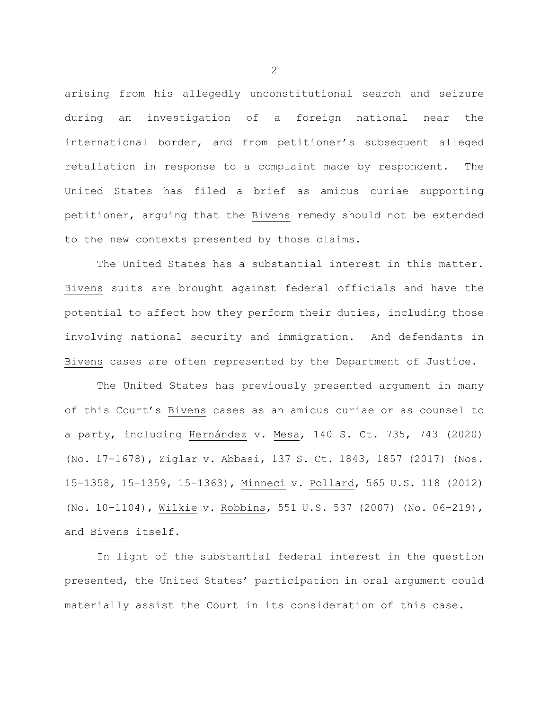arising from his allegedly unconstitutional search and seizure during an investigation of a foreign national near the international border, and from petitioner's subsequent alleged retaliation in response to a complaint made by respondent. The United States has filed a brief as amicus curiae supporting petitioner, arguing that the Bivens remedy should not be extended to the new contexts presented by those claims.

The United States has a substantial interest in this matter. Bivens suits are brought against federal officials and have the potential to affect how they perform their duties, including those involving national security and immigration. And defendants in Bivens cases are often represented by the Department of Justice.

The United States has previously presented argument in many of this Court's Bivens cases as an amicus curiae or as counsel to a party, including Hernández v. Mesa, 140 S. Ct. 735, 743 (2020) (No. 17-1678), Ziglar v. Abbasi, 137 S. Ct. 1843, 1857 (2017) (Nos. 15-1358, 15-1359, 15-1363), Minneci v. Pollard, 565 U.S. 118 (2012) (No. 10-1104), Wilkie v. Robbins, 551 U.S. 537 (2007) (No. 06-219), and Bivens itself.

In light of the substantial federal interest in the question presented, the United States' participation in oral argument could materially assist the Court in its consideration of this case.

2